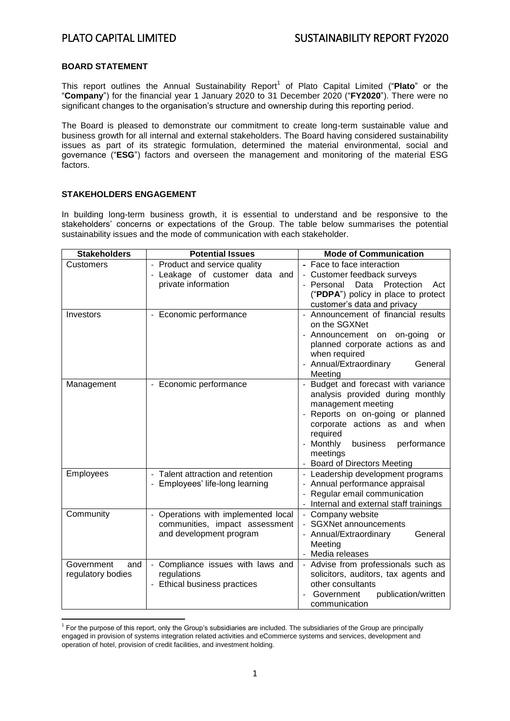### **BOARD STATEMENT**

This report outlines the Annual Sustainability Report<sup>1</sup> of Plato Capital Limited ("Plato" or the "**Company**") for the financial year 1 January 2020 to 31 December 2020 ("**FY2020**"). There were no significant changes to the organisation's structure and ownership during this reporting period.

The Board is pleased to demonstrate our commitment to create long-term sustainable value and business growth for all internal and external stakeholders. The Board having considered sustainability issues as part of its strategic formulation, determined the material environmental, social and governance ("**ESG**") factors and overseen the management and monitoring of the material ESG factors.

### **STAKEHOLDERS ENGAGEMENT**

In building long-term business growth, it is essential to understand and be responsive to the stakeholders' concerns or expectations of the Group. The table below summarises the potential sustainability issues and the mode of communication with each stakeholder.

| <b>Stakeholders</b>                    | <b>Potential Issues</b>                                                                                         | <b>Mode of Communication</b>                                                                                                                                                                                                                                      |
|----------------------------------------|-----------------------------------------------------------------------------------------------------------------|-------------------------------------------------------------------------------------------------------------------------------------------------------------------------------------------------------------------------------------------------------------------|
| Customers                              | - Product and service quality<br>- Leakage of customer data and<br>private information                          | - Face to face interaction<br>- Customer feedback surveys<br>Protection<br>- Personal<br>Data<br>Act<br>("PDPA") policy in place to protect<br>customer's data and privacy                                                                                        |
| Investors                              | - Economic performance                                                                                          | - Announcement of financial results<br>on the SGXNet<br>- Announcement on on-going or<br>planned corporate actions as and<br>when required<br>- Annual/Extraordinary<br>General<br>Meeting                                                                        |
| Management                             | Economic performance                                                                                            | Budget and forecast with variance<br>analysis provided during monthly<br>management meeting<br>Reports on on-going or planned<br>corporate actions as and when<br>required<br>Monthly<br>business<br>performance<br>meetings<br><b>Board of Directors Meeting</b> |
| Employees                              | Talent attraction and retention<br>$\overline{\phantom{a}}$<br>- Employees' life-long learning                  | - Leadership development programs<br>- Annual performance appraisal<br>Regular email communication<br>Internal and external staff trainings<br>$\blacksquare$                                                                                                     |
| Community                              | Operations with implemented local<br>$\frac{1}{2}$<br>communities, impact assessment<br>and development program | - Company website<br>- SGXNet announcements<br>- Annual/Extraordinary<br>General<br>Meeting<br>Media releases                                                                                                                                                     |
| Government<br>and<br>regulatory bodies | Compliance issues with laws and<br>regulations<br>Ethical business practices                                    | Advise from professionals such as<br>solicitors, auditors, tax agents and<br>other consultants<br>Government<br>publication/written<br>communication                                                                                                              |

**<sup>.</sup>** <sup>1</sup> For the purpose of this report, only the Group's subsidiaries are included. The subsidiaries of the Group are principally engaged in provision of systems integration related activities and eCommerce systems and services, development and operation of hotel, provision of credit facilities, and investment holding.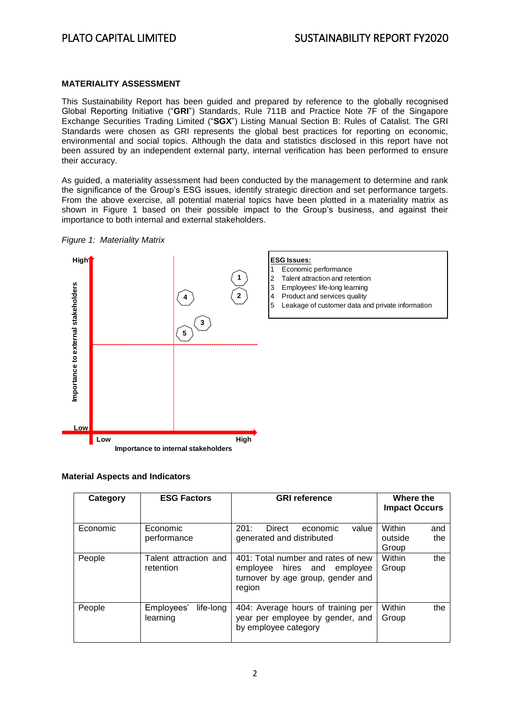# **MATERIALITY ASSESSMENT**

This Sustainability Report has been guided and prepared by reference to the globally recognised Global Reporting Initiative ("**GRI**") Standards, Rule 711B and Practice Note 7F of the Singapore Exchange Securities Trading Limited ("**SGX**") Listing Manual Section B: Rules of Catalist. The GRI Standards were chosen as GRI represents the global best practices for reporting on economic, environmental and social topics. Although the data and statistics disclosed in this report have not been assured by an independent external party, internal verification has been performed to ensure their accuracy.

As guided, a materiality assessment had been conducted by the management to determine and rank the significance of the Group's ESG issues, identify strategic direction and set performance targets. From the above exercise, all potential material topics have been plotted in a materiality matrix as shown in Figure 1 based on their possible impact to the Group's business, and against their importance to both internal and external stakeholders.





### **Material Aspects and Indicators**

| Category | <b>ESG Factors</b>                  | <b>GRI</b> reference                                                                                                | Where the<br><b>Impact Occurs</b>        |
|----------|-------------------------------------|---------------------------------------------------------------------------------------------------------------------|------------------------------------------|
| Economic | Economic<br>performance             | 201:<br>Direct<br>value<br>economic<br>generated and distributed                                                    | Within<br>and<br>the<br>outside<br>Group |
| People   | Talent attraction and<br>retention  | 401: Total number and rates of new<br>hires and employee<br>employee<br>turnover by age group, gender and<br>region | Within<br>the<br>Group                   |
| People   | life-long<br>Employees'<br>learning | 404: Average hours of training per<br>year per employee by gender, and<br>by employee category                      | Within<br>the<br>Group                   |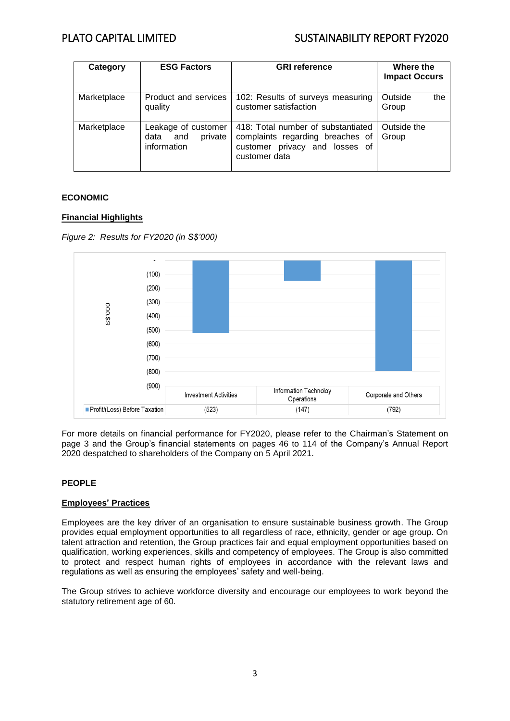# PLATO CAPITAL LIMITED SUSTAINABILITY REPORT FY2020

| Category    | <b>ESG Factors</b>                                           | <b>GRI reference</b>                                                                                                      | Where the<br><b>Impact Occurs</b> |
|-------------|--------------------------------------------------------------|---------------------------------------------------------------------------------------------------------------------------|-----------------------------------|
| Marketplace | Product and services<br>quality                              | 102: Results of surveys measuring<br>customer satisfaction                                                                | Outside<br>the<br>Group           |
| Marketplace | Leakage of customer<br>private<br>and<br>data<br>information | 418: Total number of substantiated<br>complaints regarding breaches of<br>customer privacy and losses of<br>customer data | Outside the<br>Group              |

# **ECONOMIC**

# **Financial Highlights**





For more details on financial performance for FY2020, please refer to the Chairman's Statement on page 3 and the Group's financial statements on pages 46 to 114 of the Company's Annual Report 2020 despatched to shareholders of the Company on 5 April 2021.

# **PEOPLE**

### **Employees' Practices**

Employees are the key driver of an organisation to ensure sustainable business growth. The Group provides equal employment opportunities to all regardless of race, ethnicity, gender or age group. On talent attraction and retention, the Group practices fair and equal employment opportunities based on qualification, working experiences, skills and competency of employees. The Group is also committed to protect and respect human rights of employees in accordance with the relevant laws and regulations as well as ensuring the employees' safety and well-being.

The Group strives to achieve workforce diversity and encourage our employees to work beyond the statutory retirement age of 60.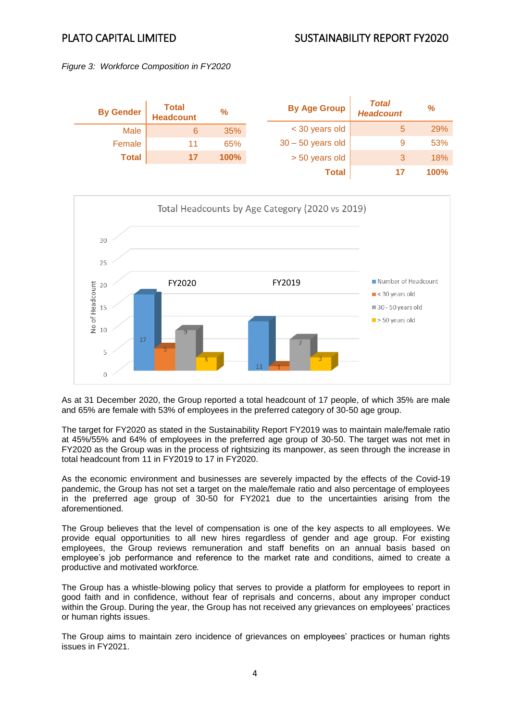





As at 31 December 2020, the Group reported a total headcount of 17 people, of which 35% are male and 65% are female with 53% of employees in the preferred category of 30-50 age group.

The target for FY2020 as stated in the Sustainability Report FY2019 was to maintain male/female ratio at 45%/55% and 64% of employees in the preferred age group of 30-50. The target was not met in FY2020 as the Group was in the process of rightsizing its manpower, as seen through the increase in total headcount from 11 in FY2019 to 17 in FY2020.

As the economic environment and businesses are severely impacted by the effects of the Covid-19 pandemic, the Group has not set a target on the male/female ratio and also percentage of employees in the preferred age group of 30-50 for FY2021 due to the uncertainties arising from the aforementioned.

The Group believes that the level of compensation is one of the key aspects to all employees. We provide equal opportunities to all new hires regardless of gender and age group. For existing employees, the Group reviews remuneration and staff benefits on an annual basis based on employee's job performance and reference to the market rate and conditions, aimed to create a productive and motivated workforce*.* 

The Group has a whistle-blowing policy that serves to provide a platform for employees to report in good faith and in confidence, without fear of reprisals and concerns, about any improper conduct within the Group. During the year, the Group has not received any grievances on employees' practices or human rights issues.

The Group aims to maintain zero incidence of grievances on employees' practices or human rights issues in FY2021.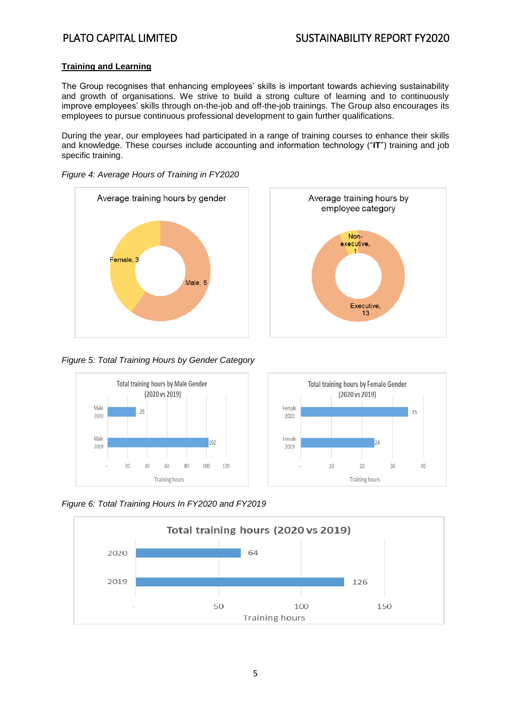# **Training and Learning**

The Group recognises that enhancing employees' skills is important towards achieving sustainability and growth of organisations. We strive to build a strong culture of learning and to continuously improve employees' skills through on-the-job and off-the-job trainings. The Group also encourages its employees to pursue continuous professional development to gain further qualifications.

During the year, our employees had participated in a range of training courses to enhance their skills and knowledge. These courses include accounting and information technology ("**IT**") training and job specific training.





### *Figure 4: Average Hours of Training in FY2020*

# *Figure 5: Total Training Hours by Gender Category*



*Figure 6: Total Training Hours In FY2020 and FY2019*

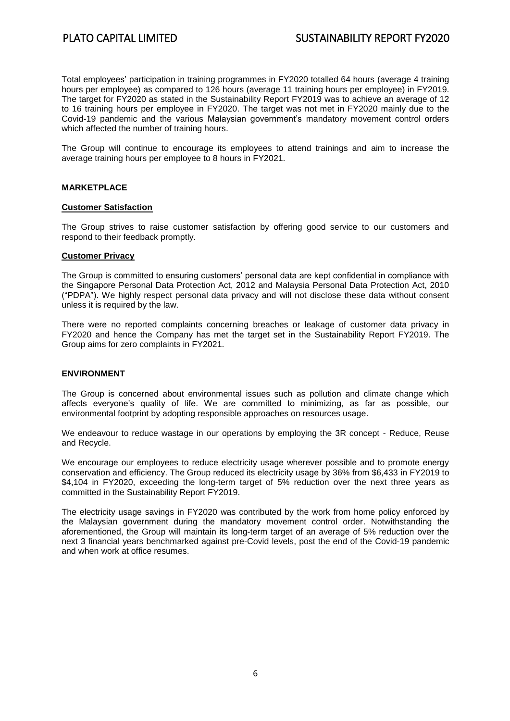Total employees' participation in training programmes in FY2020 totalled 64 hours (average 4 training hours per employee) as compared to 126 hours (average 11 training hours per employee) in FY2019. The target for FY2020 as stated in the Sustainability Report FY2019 was to achieve an average of 12 to 16 training hours per employee in FY2020. The target was not met in FY2020 mainly due to the Covid-19 pandemic and the various Malaysian government's mandatory movement control orders which affected the number of training hours.

The Group will continue to encourage its employees to attend trainings and aim to increase the average training hours per employee to 8 hours in FY2021.

### **MARKETPLACE**

### **Customer Satisfaction**

The Group strives to raise customer satisfaction by offering good service to our customers and respond to their feedback promptly.

### **Customer Privacy**

The Group is committed to ensuring customers' personal data are kept confidential in compliance with the Singapore Personal Data Protection Act, 2012 and Malaysia Personal Data Protection Act, 2010 ("PDPA"). We highly respect personal data privacy and will not disclose these data without consent unless it is required by the law.

There were no reported complaints concerning breaches or leakage of customer data privacy in FY2020 and hence the Company has met the target set in the Sustainability Report FY2019. The Group aims for zero complaints in FY2021.

### **ENVIRONMENT**

The Group is concerned about environmental issues such as pollution and climate change which affects everyone's quality of life. We are committed to minimizing, as far as possible, our environmental footprint by adopting responsible approaches on resources usage.

We endeavour to reduce wastage in our operations by employing the 3R concept - Reduce, Reuse and Recycle.

We encourage our employees to reduce electricity usage wherever possible and to promote energy conservation and efficiency. The Group reduced its electricity usage by 36% from \$6,433 in FY2019 to \$4,104 in FY2020, exceeding the long-term target of 5% reduction over the next three years as committed in the Sustainability Report FY2019.

The electricity usage savings in FY2020 was contributed by the work from home policy enforced by the Malaysian government during the mandatory movement control order. Notwithstanding the aforementioned, the Group will maintain its long-term target of an average of 5% reduction over the next 3 financial years benchmarked against pre-Covid levels, post the end of the Covid-19 pandemic and when work at office resumes.